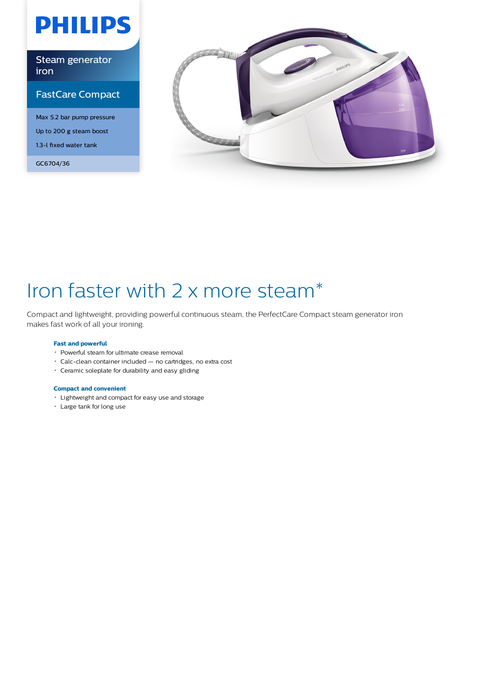# **PHILIPS**

### Steam generator iron

### FastCare Compact

Max 5.2 bar pump pressure Up to 200 g steam boost 1.3-l fixed water tank

GC6704/36



# Iron faster with 2 x more steam\*

Compact and lightweight, providing powerful continuous steam, the PerfectCare Compact steam generator iron makes fast work of all your ironing.

### **Fast and powerful**

- Powerful steam for ultimate crease removal
- Calc-clean container included no cartridges, no extra cost
- Ceramic soleplate for durability and easy gliding

### **Compact and convenient**

- Lightweight and compact for easy use and storage
- Large tank for long use